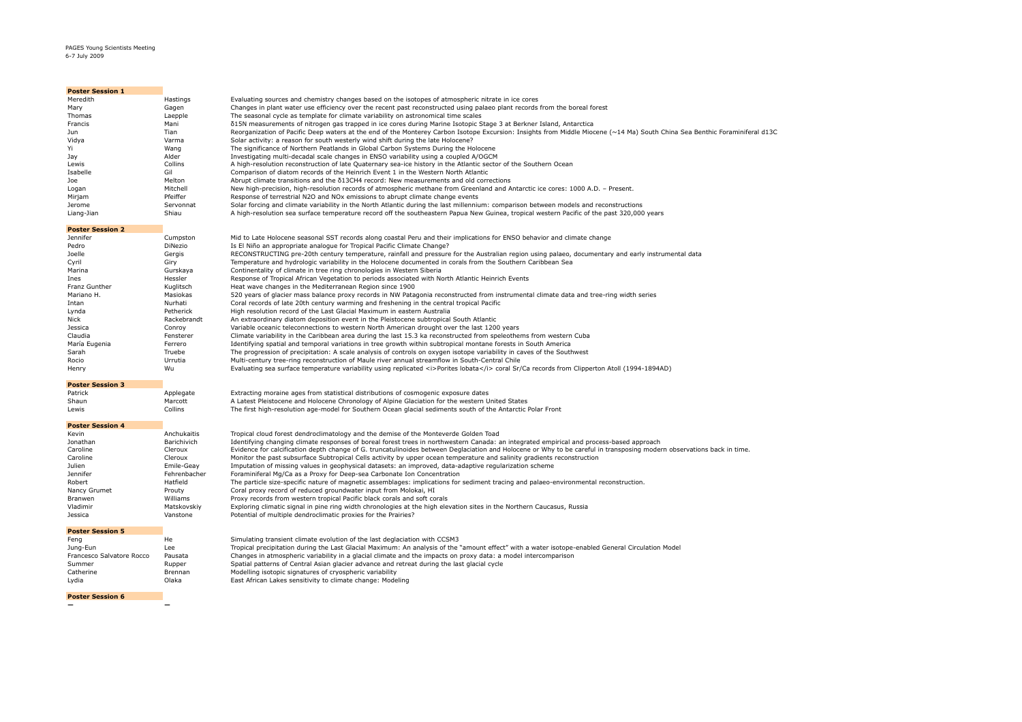### PAGES Young Scientists Meeting 6-7 July 2009

| <b>Poster Session 1</b> |           |                                                                                                                                                                             |
|-------------------------|-----------|-----------------------------------------------------------------------------------------------------------------------------------------------------------------------------|
| Meredith                | Hastings  | Evaluating sources and chemistry changes based on the isotopes of atmospheric nitrate in ice cores                                                                          |
| Mary                    | Gagen     | Changes in plant water use efficiency over the recent past reconstructed using palaeo plant records from the boreal forest                                                  |
| Thomas                  | Laepple   | The seasonal cycle as template for climate variability on astronomical time scales                                                                                          |
| Francis                 | Mani      | δ15N measurements of nitrogen gas trapped in ice cores during Marine Isotopic Stage 3 at Berkner Island, Antarctica                                                         |
| Jun                     | Tian      | Reorganization of Pacific Deep waters at the end of the Monterey Carbon Isotope Excursion: Insights from Middle Miocene (~14 Ma) South China Sea Benthic Foraminiferal d13C |
| Vidya                   | Varma     | Solar activity: a reason for south westerly wind shift during the late Holocene?                                                                                            |
|                         | Wang      | The significance of Northern Peatlands in Global Carbon Systems During the Holocene                                                                                         |
| Jay                     | Alder     | Investigating multi-decadal scale changes in ENSO variability using a coupled A/OGCM                                                                                        |
| Lewis                   | Collins   | A high-resolution reconstruction of late Quaternary sea-ice history in the Atlantic sector of the Southern Ocean                                                            |
| Isabelle                | Gil       | Comparison of diatom records of the Heinrich Event 1 in the Western North Atlantic                                                                                          |
| Joe                     | Melton    | Abrupt climate transitions and the $\delta$ 13CH4 record: New measurements and old corrections                                                                              |
| Logan                   | Mitchell  | New high-precision, high-resolution records of atmospheric methane from Greenland and Antarctic ice cores: 1000 A.D. - Present.                                             |
| Mirjam                  | Pfeiffer  | Response of terrestrial N2O and NO <sub>x</sub> emissions to abrupt climate change events                                                                                   |
| Jerome                  | Servonnat | Solar forcing and climate variability in the North Atlantic during the last millennium: comparison between models and reconstructions                                       |
| Liang-Jian              | Shiau     | A high-resolution sea surface temperature record off the southeastern Papua New Guinea, tropical western Pacific of the past 320,000 years                                  |

#### **Poster Session 2**

| Jennifer      | Cumpston       | Mid to Late Holocene seasonal SST records along coastal Peru and their implications for ENSO behavior and climate change                           |
|---------------|----------------|----------------------------------------------------------------------------------------------------------------------------------------------------|
| Pedro         | <b>DiNezio</b> | Is El Niño an appropriate analogue for Tropical Pacific Climate Change?                                                                            |
| Joelle        | Gergis         | RECONSTRUCTING pre-20th century temperature, rainfall and pressure for the Australian region using palaeo, documentary and early instrumental data |
| Cyril         | Giry           | Temperature and hydrologic variability in the Holocene documented in corals from the Southern Caribbean Sea                                        |
| Marina        | Gurskaya       | Continentality of climate in tree ring chronologies in Western Siberia                                                                             |
| Ines          | Hessler        | Response of Tropical African Vegetation to periods associated with North Atlantic Heinrich Events                                                  |
| Franz Gunther | Kualitsch      | Heat wave changes in the Mediterranean Region since 1900                                                                                           |
| Mariano H.    | Masiokas       | 520 years of glacier mass balance proxy records in NW Patagonia reconstructed from instrumental climate data and tree-ring width series            |
| Intan         | Nurhati        | Coral records of late 20th century warming and freshening in the central tropical Pacific                                                          |
| Lynda         | Petherick      | High resolution record of the Last Glacial Maximum in eastern Australia                                                                            |
| Nick          | Rackebrandt    | An extraordinary diatom deposition event in the Pleistocene subtropical South Atlantic                                                             |
| Jessica       | Conrov         | Variable oceanic teleconnections to western North American drought over the last 1200 years                                                        |
| Claudia       | Fensterer      | Climate variability in the Caribbean area during the last 15.3 ka reconstructed from speleothems from western Cuba                                 |
| María Eugenia | Ferrero        | Identifying spatial and temporal variations in tree growth within subtropical montane forests in South America                                     |
| Sarah         | Truebe         | The progression of precipitation: A scale analysis of controls on oxygen isotope variability in caves of the Southwest                             |
| Rocio         | Urrutia        | Multi-century tree-ring reconstruction of Maule river annual streamflow in South-Central Chile                                                     |
| Henry         | Wu             | Evaluating sea surface temperature variability using replicated <i>Porites lobata</i> coral Sr/Ca records from Clipperton Atoll (1994-1894AD)      |

## **Poster Session 3**

| Patrick | Applegate | Extracting moraine ages from statistical distributions of cosmogenic exposure dates                         |
|---------|-----------|-------------------------------------------------------------------------------------------------------------|
| Shaun   | Marcott   | A Latest Pleistocene and Holocene Chronology of Alpine Glaciation for the western United States             |
| Lewis   | Collins   | The first high-resolution age-model for Southern Ocean glacial sediments south of the Antarctic Polar Front |

## **Poster Session 4**

| Kevin        | Anchukaitis  | Tropical cloud forest dendroclimatology and the demise of the Monteverde Golden Toad                                                                                   |
|--------------|--------------|------------------------------------------------------------------------------------------------------------------------------------------------------------------------|
| Jonathan     | Barichivich  | Identifying changing climate responses of boreal forest trees in northwestern Canada: an integrated empirical and process-based approach                               |
| Caroline     | Cleroux      | Evidence for calcification depth change of G. truncatulinoides between Deglaciation and Holocene or Why to be careful in transposing modern observations back in time. |
| Caroline     | Cleroux      | Monitor the past subsurface Subtropical Cells activity by upper ocean temperature and salinity gradients reconstruction                                                |
| Julien       | Emile-Geav   | Imputation of missing values in geophysical datasets: an improved, data-adaptive regularization scheme                                                                 |
| Jennifer     | Fehrenbacher | Foraminiferal Mg/Ca as a Proxy for Deep-sea Carbonate Ion Concentration                                                                                                |
| Robert       | Hatfield     | The particle size-specific nature of magnetic assemblages: implications for sediment tracing and palaeo-environmental reconstruction.                                  |
| Nancy Grumet | Prouty       | Coral proxy record of reduced groundwater input from Molokai, HI                                                                                                       |
| Branwen      | Williams     | Proxy records from western tropical Pacific black corals and soft corals                                                                                               |
| Vladimir     | Matskovskiv  | Exploring climatic signal in pine ring width chronologies at the high elevation sites in the Northern Caucasus, Russia                                                 |
| Jessica      | Vanstone     | Potential of multiple dendroclimatic proxies for the Prairies?                                                                                                         |

## **Poster Session 5**

| Fena                      | He      | Simulating transient climate evolution of the last deglaciation with CCSM3                                                                        |
|---------------------------|---------|---------------------------------------------------------------------------------------------------------------------------------------------------|
| Juna-Eun                  | Lee     | Tropical precipitation during the Last Glacial Maximum: An analysis of the "amount effect" with a water isotope-enabled General Circulation Model |
| Francesco Salvatore Rocco | Pausata | Changes in atmospheric variability in a glacial climate and the impacts on proxy data: a model intercomparison                                    |
| Summer                    | Rupper  | Spatial patterns of Central Asian glacier advance and retreat during the last glacial cycle                                                       |
| Catherine                 | Brennan | Modelling isotopic signatures of cryospheric variability                                                                                          |
| Lydia                     | Olaka   | East African Lakes sensitivity to climate change: Modeling                                                                                        |

## **Poster Session 6**

 $\mathcal{L}(\mathcal{A})$ 

**— —**